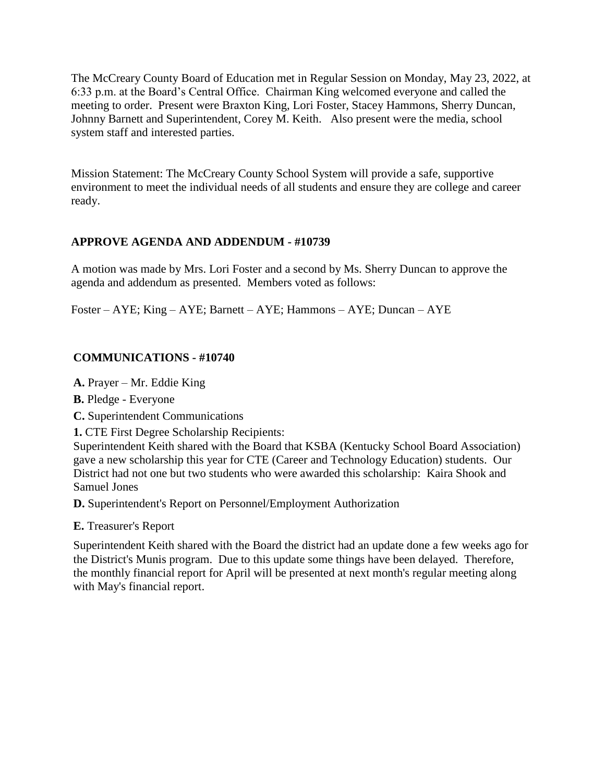The McCreary County Board of Education met in Regular Session on Monday, May 23, 2022, at 6:33 p.m. at the Board's Central Office. Chairman King welcomed everyone and called the meeting to order. Present were Braxton King, Lori Foster, Stacey Hammons, Sherry Duncan, Johnny Barnett and Superintendent, Corey M. Keith. Also present were the media, school system staff and interested parties.

Mission Statement: The McCreary County School System will provide a safe, supportive environment to meet the individual needs of all students and ensure they are college and career ready.

# **APPROVE AGENDA AND ADDENDUM - #10739**

A motion was made by Mrs. Lori Foster and a second by Ms. Sherry Duncan to approve the agenda and addendum as presented. Members voted as follows:

Foster – AYE; King – AYE; Barnett – AYE; Hammons – AYE; Duncan – AYE

### **COMMUNICATIONS - #10740**

**A.** Prayer – Mr. Eddie King

**B.** Pledge - Everyone

**C.** Superintendent Communications

**1.** CTE First Degree Scholarship Recipients:

Superintendent Keith shared with the Board that KSBA (Kentucky School Board Association) gave a new scholarship this year for CTE (Career and Technology Education) students. Our District had not one but two students who were awarded this scholarship: Kaira Shook and Samuel Jones

**D.** Superintendent's Report on Personnel/Employment Authorization

**E.** Treasurer's Report

Superintendent Keith shared with the Board the district had an update done a few weeks ago for the District's Munis program. Due to this update some things have been delayed. Therefore, the monthly financial report for April will be presented at next month's regular meeting along with May's financial report.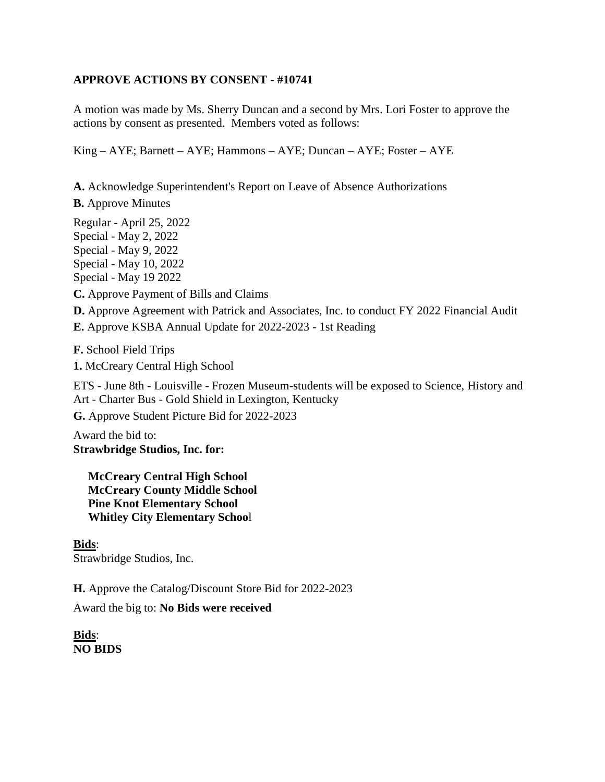## **APPROVE ACTIONS BY CONSENT - #10741**

A motion was made by Ms. Sherry Duncan and a second by Mrs. Lori Foster to approve the actions by consent as presented. Members voted as follows:

 $King - AYE$ ; Barnett –  $AYE$ ; Hammons –  $AYE$ ; Duncan –  $AYE$ ; Foster –  $AYE$ 

**A.** Acknowledge Superintendent's Report on Leave of Absence Authorizations

**B.** Approve Minutes

Regular - April 25, 2022 Special - May 2, 2022 Special - May 9, 2022 Special - May 10, 2022 Special - May 19 2022

**C.** Approve Payment of Bills and Claims

**D.** Approve Agreement with Patrick and Associates, Inc. to conduct FY 2022 Financial Audit

**E.** Approve KSBA Annual Update for 2022-2023 - 1st Reading

**F.** School Field Trips

**1.** McCreary Central High School

ETS - June 8th - Louisville - Frozen Museum-students will be exposed to Science, History and Art - Charter Bus - Gold Shield in Lexington, Kentucky

**G.** Approve Student Picture Bid for 2022-2023

Award the bid to: **Strawbridge Studios, Inc. for:**

 **McCreary Central High School McCreary County Middle School Pine Knot Elementary School Whitley City Elementary Schoo**l

**Bids**: Strawbridge Studios, Inc.

**H.** Approve the Catalog/Discount Store Bid for 2022-2023

Award the big to: **No Bids were received**

**Bids**: **NO BIDS**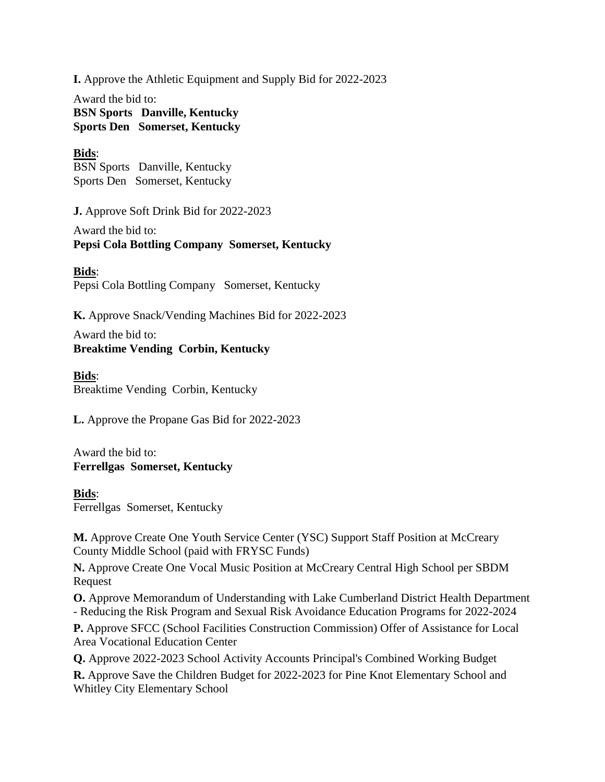**I.** Approve the Athletic Equipment and Supply Bid for 2022-2023

Award the bid to: **BSN Sports Danville, Kentucky Sports Den Somerset, Kentucky**

### **Bids**:

BSN Sports Danville, Kentucky Sports Den Somerset, Kentucky

**J.** Approve Soft Drink Bid for 2022-2023

Award the bid to: **Pepsi Cola Bottling Company Somerset, Kentucky**

**Bids**: Pepsi Cola Bottling Company Somerset, Kentucky

**K.** Approve Snack/Vending Machines Bid for 2022-2023

Award the bid to: **Breaktime Vending Corbin, Kentucky**

**Bids**: Breaktime Vending Corbin, Kentucky

**L.** Approve the Propane Gas Bid for 2022-2023

Award the bid to: **Ferrellgas Somerset, Kentucky**

#### **Bids**:

Ferrellgas Somerset, Kentucky

**M.** Approve Create One Youth Service Center (YSC) Support Staff Position at McCreary County Middle School (paid with FRYSC Funds)

**N.** Approve Create One Vocal Music Position at McCreary Central High School per SBDM Request

**O.** Approve Memorandum of Understanding with Lake Cumberland District Health Department - Reducing the Risk Program and Sexual Risk Avoidance Education Programs for 2022-2024

**P.** Approve SFCC (School Facilities Construction Commission) Offer of Assistance for Local Area Vocational Education Center

**Q.** Approve 2022-2023 School Activity Accounts Principal's Combined Working Budget

**R.** Approve Save the Children Budget for 2022-2023 for Pine Knot Elementary School and Whitley City Elementary School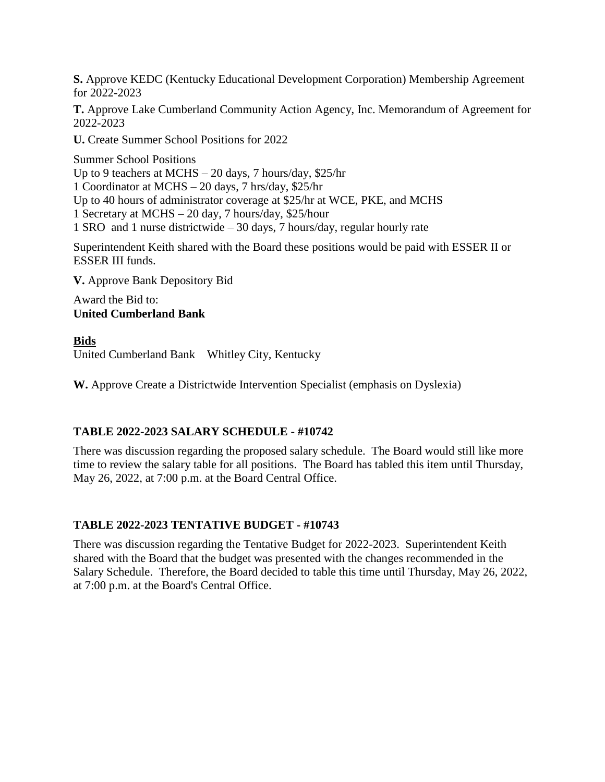**S.** Approve KEDC (Kentucky Educational Development Corporation) Membership Agreement for 2022-2023

**T.** Approve Lake Cumberland Community Action Agency, Inc. Memorandum of Agreement for 2022-2023

**U.** Create Summer School Positions for 2022

Summer School Positions Up to 9 teachers at MCHS – 20 days, 7 hours/day, \$25/hr 1 Coordinator at MCHS – 20 days, 7 hrs/day, \$25/hr Up to 40 hours of administrator coverage at \$25/hr at WCE, PKE, and MCHS 1 Secretary at MCHS – 20 day, 7 hours/day, \$25/hour 1 SRO and 1 nurse districtwide – 30 days, 7 hours/day, regular hourly rate

Superintendent Keith shared with the Board these positions would be paid with ESSER II or ESSER III funds.

**V.** Approve Bank Depository Bid

Award the Bid to: **United Cumberland Bank**

#### **Bids**

United Cumberland Bank Whitley City, Kentucky

**W.** Approve Create a Districtwide Intervention Specialist (emphasis on Dyslexia)

#### **TABLE 2022-2023 SALARY SCHEDULE - #10742**

There was discussion regarding the proposed salary schedule. The Board would still like more time to review the salary table for all positions. The Board has tabled this item until Thursday, May 26, 2022, at 7:00 p.m. at the Board Central Office.

#### **TABLE 2022-2023 TENTATIVE BUDGET - #10743**

There was discussion regarding the Tentative Budget for 2022-2023. Superintendent Keith shared with the Board that the budget was presented with the changes recommended in the Salary Schedule. Therefore, the Board decided to table this time until Thursday, May 26, 2022, at 7:00 p.m. at the Board's Central Office.